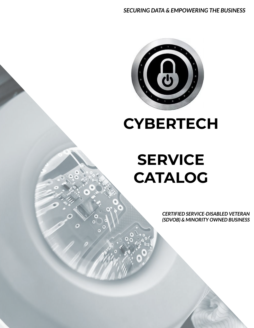

**CYBERTECH** 

# **SERVICE CATALOG**

*CERTIFIED SERVICE-DISABLED VETERAN (SDVOB) & MINORITY OWNED BUSINESS*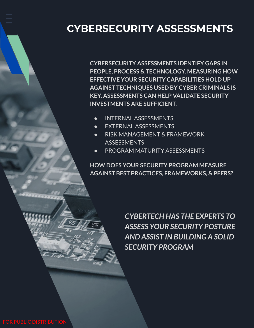## **CYBERSECURITY ASSESSMENTS**

**CYBERSECURITY ASSESSMENTS IDENTIFY GAPS IN PEOPLE, PROCESS & TECHNOLOGY. MEASURING HOW EFFECTIVE YOUR SECURITY CAPABILITIES HOLD UP AGAINST TECHNIQUES USED BY CYBER CRIMINALS IS KEY. ASSESSMENTS CAN HELP VALIDATE SECURITY INVESTMENTS ARE SUFFICIENT.**

- INTERNAL ASSESSMENTS
- EXTERNAL ASSESSMENTS
- RISK MANAGEMENT & FRAMEWORK **ASSESSMENTS**
- PROGRAM MATURITY ASSESSMENTS

**HOW DOES YOUR SECURITY PROGRAM MEASURE AGAINST BEST PRACTICES, FRAMEWORKS, & PEERS?**

> *CYBERTECH HAS THE EXPERTS TO ASSESS YOUR SECURITY POSTURE AND ASSIST IN BUILDING A SOLID SECURITY PROGRAM*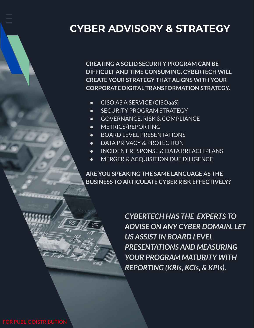#### **CYBER ADVISORY & STRATEGY**

**CREATING A SOLID SECURITY PROGRAM CAN BE DIFFICULT AND TIME CONSUMING. CYBERTECH WILL CREATE YOUR STRATEGY THAT ALIGNS WITH YOUR CORPORATE DIGITAL TRANSFORMATION STRATEGY.**

- CISO AS A SERVICE (CISOaaS)
- **SECURITY PROGRAM STRATEGY**
- GOVERNANCE, RISK & COMPLIANCE
- METRICS/REPORTING
- BOARD LEVEL PRESENTATIONS
- DATA PRIVACY & PROTECTION
- INCIDENT RESPONSE & DATA BREACH PLANS
- MERGER & ACQUISITION DUE DILIGENCE

**ARE YOU SPEAKING THE SAME LANGUAGE AS THE BUSINESS TO ARTICULATE CYBER RISK EFFECTIVELY?**

> *CYBERTECH HAS THE EXPERTS TO ADVISE ON ANY CYBER DOMAIN. LET US ASSIST IN BOARD LEVEL PRESENTATIONS AND MEASURING YOUR PROGRAM MATURITY WITH REPORTING (KRIs, KCIs, & KPIs).*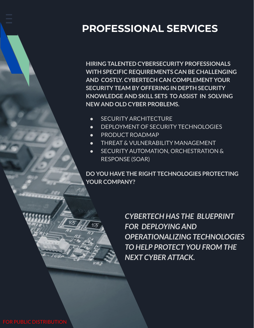## **PROFESSIONAL SERVICES**

**HIRING TALENTED CYBERSECURITY PROFESSIONALS WITH SPECIFIC REQUIREMENTS CAN BE CHALLENGING AND COSTLY. CYBERTECH CAN COMPLEMENT YOUR SECURITY TEAM BY OFFERING IN DEPTH SECURITY KNOWLEDGE AND SKILL SETS TO ASSIST IN SOLVING NEW AND OLD CYBER PROBLEMS.**

- **•** SECURITY ARCHITECTURE
- DEPLOYMENT OF SECURITY TECHNOLOGIES
- PRODUCT ROADMAP
- THREAT & VULNERABILITY MANAGEMENT
- SECURITY AUTOMATION, ORCHESTRATION & RESPONSE (SOAR)

**DO YOU HAVE THE RIGHT TECHNOLOGIES PROTECTING YOUR COMPANY?**

> *CYBERTECH HAS THE BLUEPRINT FOR DEPLOYING AND OPERATIONALIZING TECHNOLOGIES TO HELP PROTECT YOU FROM THE NEXT CYBER ATTACK.*